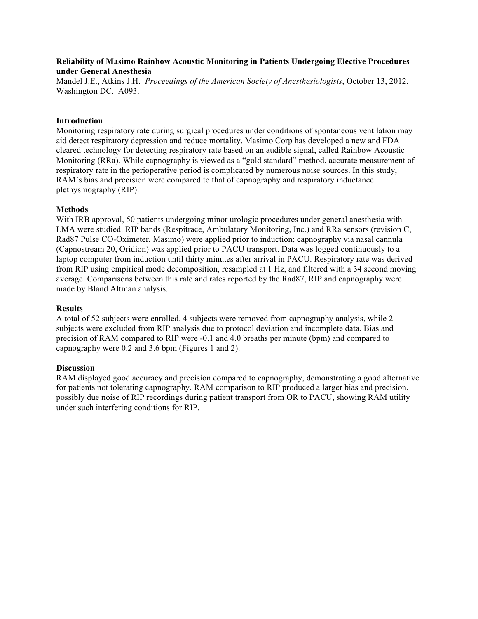# **Reliability of Masimo Rainbow Acoustic Monitoring in Patients Undergoing Elective Procedures under General Anesthesia**

Mandel J.E., Atkins J.H. *Proceedings of the American Society of Anesthesiologists*, October 13, 2012. Washington DC. A093.

# **Introduction**

Monitoring respiratory rate during surgical procedures under conditions of spontaneous ventilation may aid detect respiratory depression and reduce mortality. Masimo Corp has developed a new and FDA cleared technology for detecting respiratory rate based on an audible signal, called Rainbow Acoustic Monitoring (RRa). While capnography is viewed as a "gold standard" method, accurate measurement of respiratory rate in the perioperative period is complicated by numerous noise sources. In this study, RAM's bias and precision were compared to that of capnography and respiratory inductance plethysmography (RIP).

### **Methods**

With IRB approval, 50 patients undergoing minor urologic procedures under general anesthesia with LMA were studied. RIP bands (Respitrace, Ambulatory Monitoring, Inc.) and RRa sensors (revision C, Rad87 Pulse CO-Oximeter, Masimo) were applied prior to induction; capnography via nasal cannula (Capnostream 20, Oridion) was applied prior to PACU transport. Data was logged continuously to a laptop computer from induction until thirty minutes after arrival in PACU. Respiratory rate was derived from RIP using empirical mode decomposition, resampled at 1 Hz, and filtered with a 34 second moving average. Comparisons between this rate and rates reported by the Rad87, RIP and capnography were made by Bland Altman analysis.

### **Results**

A total of 52 subjects were enrolled. 4 subjects were removed from capnography analysis, while 2 subjects were excluded from RIP analysis due to protocol deviation and incomplete data. Bias and precision of RAM compared to RIP were -0.1 and 4.0 breaths per minute (bpm) and compared to capnography were 0.2 and 3.6 bpm (Figures 1 and 2).

#### **Discussion**

RAM displayed good accuracy and precision compared to capnography, demonstrating a good alternative for patients not tolerating capnography. RAM comparison to RIP produced a larger bias and precision, possibly due noise of RIP recordings during patient transport from OR to PACU, showing RAM utility under such interfering conditions for RIP.